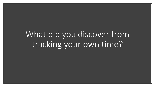# What did you discover from tracking your own time?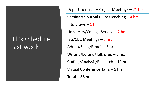### Jill's schedule last week

Department/Lab/Project Meetings – 21 hrs

Seminars/Journal Clubs/Teaching – 4 hrs

Interviews – 1 hr

University/College Service – 2 hrs

ISG/CBC Meetings – 3 hrs

Admin/Slack/E-mail – 3 hr

Writing/Editing/Talk prep – 6 hrs

Coding/Analysis/Research – 11 hrs

Virtual Conference Talks – 5 hrs

**Total – 56 hrs**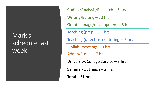#### Mark's schedule last week

Grant manage/development – 5 hrs Seminar/Outreach – 2 hrs Collab. meetings – 3 hrs University/College Service – 3 hrs Teaching (direct) + mentoring  $-5$  hrs Admin/E-mail – 7 hrs Writing/Editing – 10 hrs Coding/Analysis/Research – 5 hrs Teaching (prep) – 11 hrs

**Total – 51 hrs**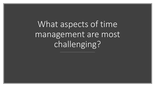What aspects of time management are most challenging?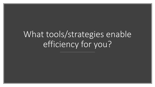# What tools/strategies enable efficiency for you?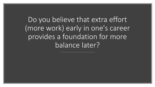Do you believe that extra effort (more work) early in one's career provides a foundation for more balance later?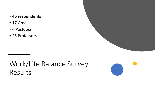#### • **46 respondents**

- 17 Grads
- 4 Postdocs
- 25 Professors

## Work/Life Balance Survey Results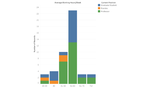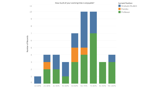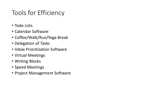### Tools for Efficiency

- Todo Lists
- Calendar Software
- Coffee/Walk/Run/Yoga Break
- Delegation of Tasks
- Inbox Prioritization Software
- Virtual Meetings
- Writing Blocks
- Speed Meetings
- Project Management Software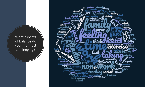What aspects of balance do you find most challenging?

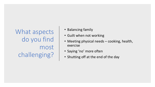What aspects do you find most challenging?

- Balancing family
- Guilt when not working
- Meeting physical needs cooking, health, exercise
- Saying 'no' more often
- Shutting off at the end of the day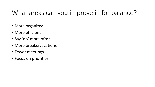#### What areas can you improve in for balance?

- More organized
- More efficient
- Say 'no' more often
- More breaks/vacations
- Fewer meetings
- Focus on priorities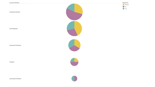Graduate Student

Full Professor

Assistant Professor

Postdoc





Associate Professor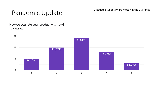## Pandemic Update Graduate Students were mostly in the 2-3 range

#### How do you rate your productivity now? 40 responses